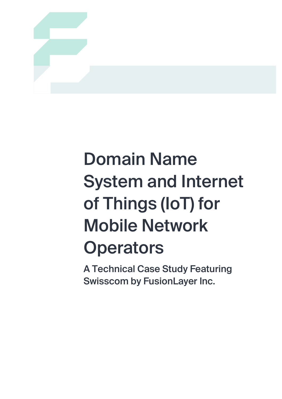

# Domain Name System and Internet of Things (IoT) for Mobile Network **Operators**

A Technical Case Study Featuring Swisscom by FusionLayer Inc.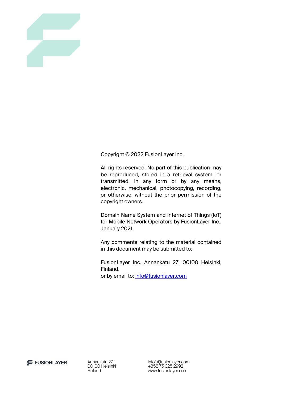

Copyright © 2022 FusionLayer Inc.

All rights reserved. No part of this publication may be reproduced, stored in a retrieval system, or transmitted, in any form or by any means, electronic, mechanical, photocopying, recording, or otherwise, without the prior permission of the copyright owners.

Domain Name System and Internet of Things (IoT) for Mobile Network Operators by FusionLayer Inc., January 2021.

Any comments relating to the material contained in this document may be submitted to:

FusionLayer Inc. Annankatu 27, 00100 Helsinki, Finland. or by email to: info@fusionlayer.com



Annankatu 27 00100 Helsinki Finland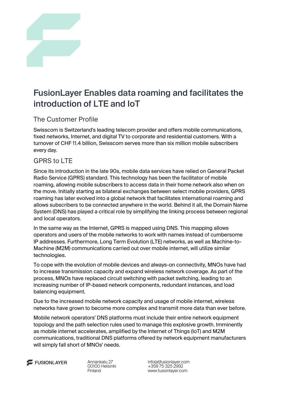

# FusionLayer Enables data roaming and facilitates the introduction of LTE and IoT

## The Customer Profile

Swisscom is Switzerland's leading telecom provider and offers mobile communications, fixed networks, Internet, and digital TV to corporate and residential customers. With a turnover of CHF 11.4 billion, Swisscom serves more than six million mobile subscribers every day.

#### GPRS to LTE

Since its introduction in the late 90s, mobile data services have relied on General Packet Radio Service (GPRS) standard. This technology has been the facilitator of mobile roaming, allowing mobile subscribers to access data in their home network also when on the move. Initially starting as bilateral exchanges between select mobile providers, GPRS roaming has later evolved into a global network that facilitates international roaming and allows subscribers to be connected anywhere in the world. Behind it all, the Domain Name System (DNS) has played a critical role by simplifying the linking process between regional and local operators.

In the same way as the Internet, GPRS is mapped using DNS. This mapping allows operators and users of the mobile networks to work with names instead of cumbersome IP addresses. Furthermore, Long Term Evolution (LTE) networks, as well as Machine-to-Machine (M2M) communications carried out over mobile internet, will utilize similar technologies.

To cope with the evolution of mobile devices and always-on connectivity, MNOs have had to increase transmission capacity and expand wireless network coverage. As part of the process, MNOs have replaced circuit switching with packet switching, leading to an increasing number of IP-based network components, redundant instances, and load balancing equipment.

Due to the increased mobile network capacity and usage of mobile internet, wireless networks have grown to become more complex and transmit more data than ever before.

Mobile network operators' DNS platforms must include their entire network equipment topology and the path selection rules used to manage this explosive growth. Imminently as mobile internet accelerates, amplified by the Internet of Things (IoT) and M2M communications, traditional DNS platforms offered by network equipment manufacturers will simply fall short of MNOs' needs.

FUSIONLAYER

Annankatu 27 00100 Helsinki Finland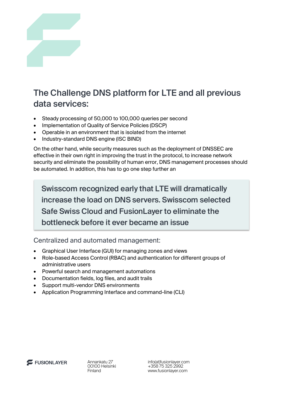

# The Challenge DNS platform for LTE and all previous data services:

- Steady processing of 50,000 to 100,000 queries per second
- Implementation of Quality of Service Policies (DSCP)
- Operable in an environment that is isolated from the internet
- Industry-standard DNS engine (ISC BIND)

On the other hand, while security measures such as the deployment of DNSSEC are effective in their own right in improving the trust in the protocol, to increase network security and eliminate the possibility of human error, DNS management processes should be automated. In addition, this has to go one step further an

Swisscom recognized early that LTE will dramatically increase the load on DNS servers. Swisscom selected Safe Swiss Cloud and FusionLayer to eliminate the bottleneck before it ever became an issue

Centralized and automated management:

- Graphical User Interface (GUI) for managing zones and views
- Role-based Access Control (RBAC) and authentication for different groups of administrative users
- Powerful search and management automations
- Documentation fields, log files, and audit trails
- Support multi-vendor DNS environments
- Application Programming Interface and command-line (CLI)



Annankatu 27 00100 Helsinki Finland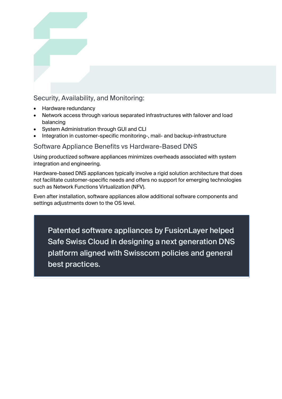## Security, Availability, and Monitoring:

- Hardware redundancy
- Network access through various separated infrastructures with failover and load balancing
- System Administration through GUI and CLI
- Integration in customer-specific monitoring-, mail- and backup-infrastructure

#### Software Appliance Benefits vs Hardware-Based DNS

Using productized software appliances minimizes overheads associated with system integration and engineering.

Hardware-based DNS appliances typically involve a rigid solution architecture that does not facilitate customer-specific needs and offers no support for emerging technologies such as Network Functions Virtualization (NFV).

Even after installation, software appliances allow additional software components and settings adjustments down to the OS level.

Patented software appliances by FusionLayer helped Safe Swiss Cloud in designing a next generation DNS platform aligned with Swisscom policies and general best practices.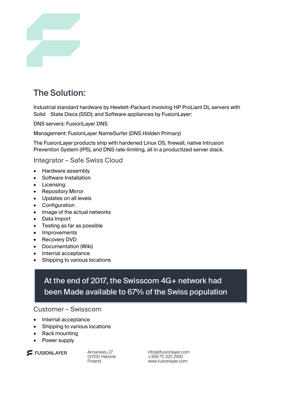

# The Solution:

Industrial standard hardware by Hewlett-Packard involving HP ProLiant DL servers with Solid State Discs (SSD); and Software appliances by FusionLayer:

DNS servers: FusionLayer DNS

Management: FusionLayer NameSurfer (DNS Hidden Primary)

The FusionLayer products ship with hardened Linux OS, firewall, native Intrusion Prevention System (IPS), and DNS rate-limiting, all in a productized server stack.

Integrator – Safe Swiss Cloud

- Hardware assembly
- Software Installation
- Licensing
- Repository Mirror
- Updates on all levels
- Configuration
- Image of the actual networks
- Data Import
- Testing as far as possible
- Improvements
- Recovery DVD
- Documentation (Wiki)
- Internal acceptance
- **Shipping to various locations**

## At the end of 2017, the Swisscom 4G+ network had been Made available to 67% of the Swiss population

#### Customer – Swisscom

- Internal acceptance
- Shipping to various locations
- Rack mounting
- Power supply

FUSIONLAYER

Annankatu 27 00100 Helsinki Finland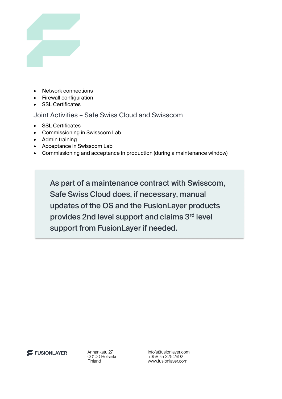

- Network connections
- Firewall configuration
- SSL Certificates

#### Joint Activities – Safe Swiss Cloud and Swisscom

- SSL Certificates
- Commissioning in Swisscom Lab
- Admin training
- Acceptance in Swisscom Lab
- Commissioning and acceptance in production (during a maintenance window)

As part of a maintenance contract with Swisscom, Safe Swiss Cloud does, if necessary, manual updates of the OS and the FusionLayer products provides 2nd level support and claims 3rd level support from FusionLayer if needed.



Annankatu 27 00100 Helsinki Finland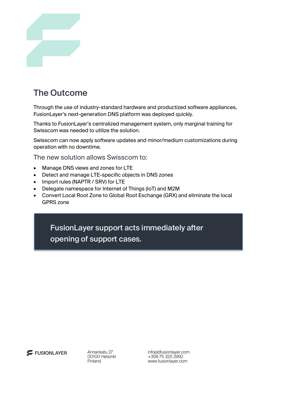

# The Outcome

Through the use of industry-standard hardware and productized software appliances, FusionLayer's next-generation DNS platform was deployed quickly.

Thanks to FusionLayer's centralized management system, only marginal training for Swisscom was needed to utilize the solution.

Swisscom can now apply software updates and minor/medium customizations during operation with no downtime.

The new solution allows Swisscom to:

- Manage DNS views and zones for LTE
- Detect and manage LTE-specific objects in DNS zones
- Import rules (NAPTR / SRV) for LTE
- Delegate namespace for Internet of Things (IoT) and M2M
- Convert Local Root Zone to Global Root Exchange (GRX) and eliminate the local GPRS zone

FusionLayer support acts immediately after opening of support cases.

FUSIONLAYER

Annankatu 27 00100 Helsinki Finland